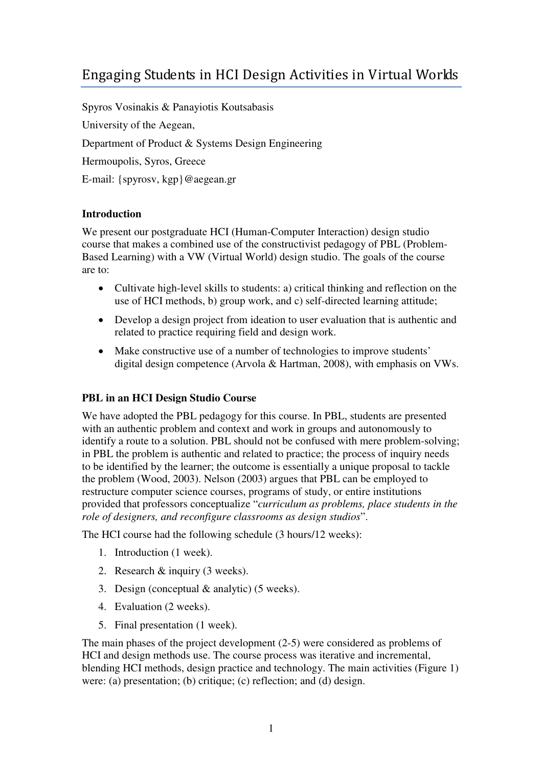# Engaging Students in HCI Design Activities in Virtual Worlds

Spyros Vosinakis & Panayiotis Koutsabasis University of the Aegean, Department of Product & Systems Design Engineering Hermoupolis, Syros, Greece E-mail: {spyrosv, kgp}@aegean.gr

## **Introduction**

We present our postgraduate HCI (Human-Computer Interaction) design studio course that makes a combined use of the constructivist pedagogy of PBL (Problem-Based Learning) with a VW (Virtual World) design studio. The goals of the course are to:

- Cultivate high-level skills to students: a) critical thinking and reflection on the use of HCI methods, b) group work, and c) self-directed learning attitude;
- Develop a design project from ideation to user evaluation that is authentic and related to practice requiring field and design work.
- Make constructive use of a number of technologies to improve students' digital design competence (Arvola & Hartman, 2008), with emphasis on VWs.

### **PBL in an HCI Design Studio Course**

We have adopted the PBL pedagogy for this course. In PBL, students are presented with an authentic problem and context and work in groups and autonomously to identify a route to a solution. PBL should not be confused with mere problem-solving; in PBL the problem is authentic and related to practice; the process of inquiry needs to be identified by the learner; the outcome is essentially a unique proposal to tackle the problem (Wood, 2003). Nelson (2003) argues that PBL can be employed to restructure computer science courses, programs of study, or entire institutions provided that professors conceptualize "*curriculum as problems, place students in the role of designers, and reconfigure classrooms as design studios*".

The HCI course had the following schedule (3 hours/12 weeks):

- 1. Introduction (1 week).
- 2. Research & inquiry (3 weeks).
- 3. Design (conceptual & analytic) (5 weeks).
- 4. Evaluation (2 weeks).
- 5. Final presentation (1 week).

The main phases of the project development (2-5) were considered as problems of HCI and design methods use. The course process was iterative and incremental, blending HCI methods, design practice and technology. The main activities (Figure 1) were: (a) presentation; (b) critique; (c) reflection; and (d) design.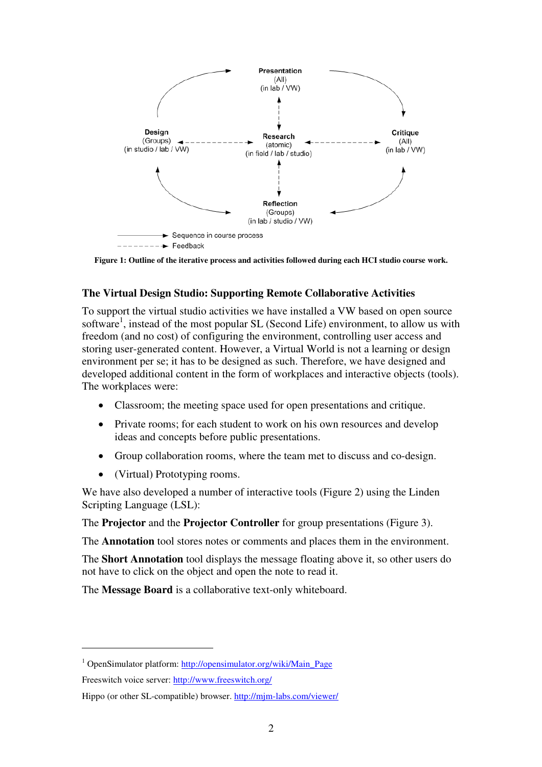

**Figure 1: Outline of the iterative process and activities followed during each HCI studio course work.**

## **The Virtual Design Studio: Supporting Remote Collaborative Activities**

To support the virtual studio activities we have installed a VW based on open source software<sup>1</sup>, instead of the most popular SL (Second Life) environment, to allow us with freedom (and no cost) of configuring the environment, controlling user access and storing user-generated content. However, a Virtual World is not a learning or design environment per se; it has to be designed as such. Therefore, we have designed and developed additional content in the form of workplaces and interactive objects (tools). The workplaces were:

- Classroom; the meeting space used for open presentations and critique.
- Private rooms; for each student to work on his own resources and develop ideas and concepts before public presentations.
- Group collaboration rooms, where the team met to discuss and co-design.
- (Virtual) Prototyping rooms.

We have also developed a number of interactive tools (Figure 2) using the Linden Scripting Language (LSL):

The **Projector** and the **Projector Controller** for group presentations (Figure 3).

The **Annotation** tool stores notes or comments and places them in the environment.

The **Short Annotation** tool displays the message floating above it, so other users do not have to click on the object and open the note to read it.

The **Message Board** is a collaborative text-only whiteboard.

 $\overline{a}$ 

<sup>&</sup>lt;sup>1</sup> OpenSimulator platform: http://opensimulator.org/wiki/Main\_Page

Freeswitch voice server: http://www.freeswitch.org/

Hippo (or other SL-compatible) browser. http://mjm-labs.com/viewer/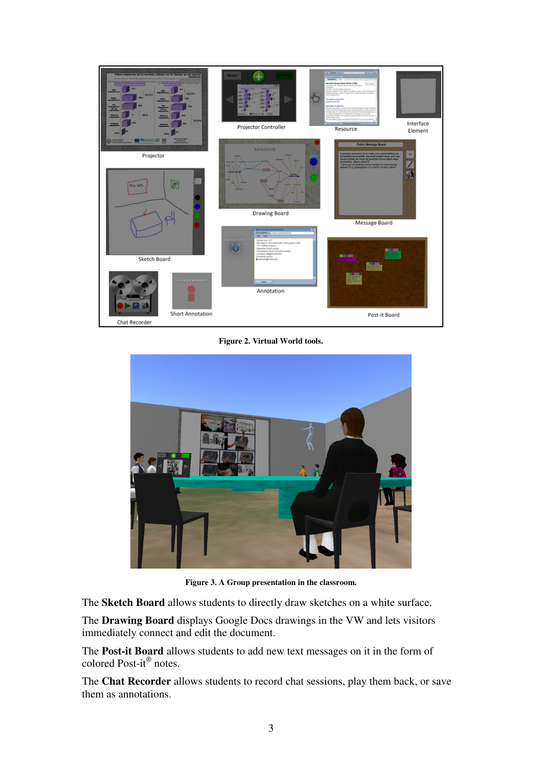

**Figure 2. Virtual World tools.** 



**Figure 3. A Group presentation in the classroom.** 

The **Sketch Board** allows students to directly draw sketches on a white surface.

The **Drawing Board** displays Google Docs drawings in the VW and lets visitors immediately connect and edit the document.

The **Post-it Board** allows students to add new text messages on it in the form of colored Post-it® notes.

The **Chat Recorder** allows students to record chat sessions, play them back, or save them as annotations.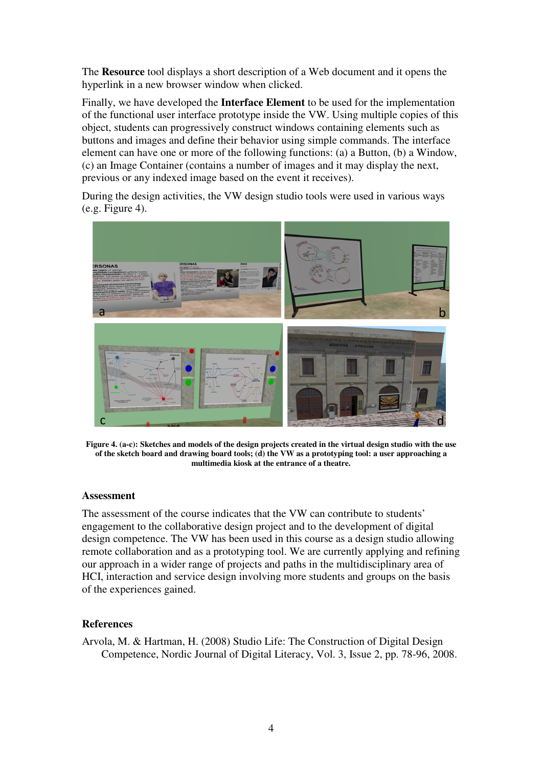The **Resource** tool displays a short description of a Web document and it opens the hyperlink in a new browser window when clicked.

Finally, we have developed the **Interface Element** to be used for the implementation of the functional user interface prototype inside the VW. Using multiple copies of this object, students can progressively construct windows containing elements such as buttons and images and define their behavior using simple commands. The interface element can have one or more of the following functions: (a) a Button, (b) a Window, (c) an Image Container (contains a number of images and it may display the next, previous or any indexed image based on the event it receives).

During the design activities, the VW design studio tools were used in various ways  $(e.g. Figure 4)$ .



**Figure 4. (a-c): Sketches and models of the design projects created in the virtual design studio with the use of the sketch board and drawing board tools; (d) the VW as a prototyping tool: a user approaching a multimedia kiosk at the entrance of a theatre.** 

#### **Assessment**

The assessment of the course indicates that the VW can contribute to students' engagement to the collaborative design project and to the development of digital design competence. The VW has been used in this course as a design studio allowing remote collaboration and as a prototyping tool. We are currently applying and refining our approach in a wider range of projects and paths in the multidisciplinary area of HCI, interaction and service design involving more students and groups on the basis of the experiences gained.

#### **References**

Arvola, M. & Hartman, H. (2008) Studio Life: The Construction of Digital Design Competence, Nordic Journal of Digital Literacy, Vol. 3, Issue 2, pp. 78-96, 2008.